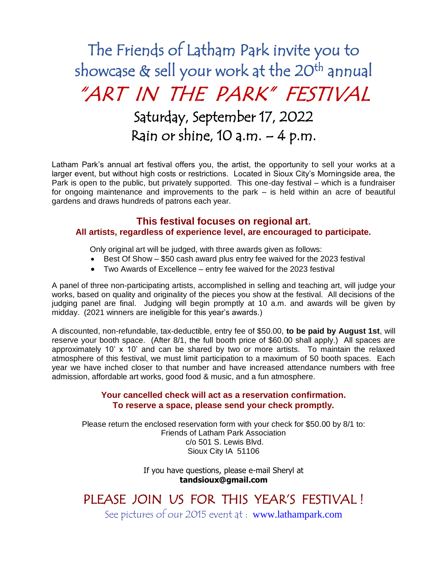# The Friends of Latham Park invite you to showcase & sell your work at the 20<sup>th</sup> annual "ART IN THE PARK" FESTIVAL Saturday, September 17, 2022 Rain or shine,  $10$  a.m.  $-4$  p.m.

Latham Park's annual art festival offers you, the artist, the opportunity to sell your works at a larger event, but without high costs or restrictions. Located in Sioux City's Morningside area, the Park is open to the public, but privately supported. This one-day festival – which is a fundraiser for ongoing maintenance and improvements to the park – is held within an acre of beautiful gardens and draws hundreds of patrons each year.

### **This festival focuses on regional art.**

#### **All artists, regardless of experience level, are encouraged to participate.**

Only original art will be judged, with three awards given as follows:

- Best Of Show \$50 cash award plus entry fee waived for the 2023 festival
- Two Awards of Excellence entry fee waived for the 2023 festival

A panel of three non-participating artists, accomplished in selling and teaching art, will judge your works, based on quality and originality of the pieces you show at the festival. All decisions of the judging panel are final. Judging will begin promptly at 10 a.m. and awards will be given by midday. (2021 winners are ineligible for this year's awards.)

A discounted, non-refundable, tax-deductible, entry fee of \$50.00, **to be paid by August 1st**, will reserve your booth space. (After 8/1, the full booth price of \$60.00 shall apply.) All spaces are approximately 10' x 10' and can be shared by two or more artists. To maintain the relaxed atmosphere of this festival, we must limit participation to a maximum of 50 booth spaces. Each year we have inched closer to that number and have increased attendance numbers with free admission, affordable art works, good food & music, and a fun atmosphere.

#### **Your cancelled check will act as a reservation confirmation. To reserve a space, please send your check promptly.**

Please return the enclosed reservation form with your check for \$50.00 by 8/1 to: Friends of Latham Park Association c/o 501 S. Lewis Blvd. Sioux City IA 51106

> If you have questions, please e-mail Sheryl at **tandsioux@gmail.com**

## PLEASE JOIN US FOR THIS YEAR'S FESTIVAL !

See pictures of our 2015 event at : [www.lathampark.com](http://www.lathampark.com/)